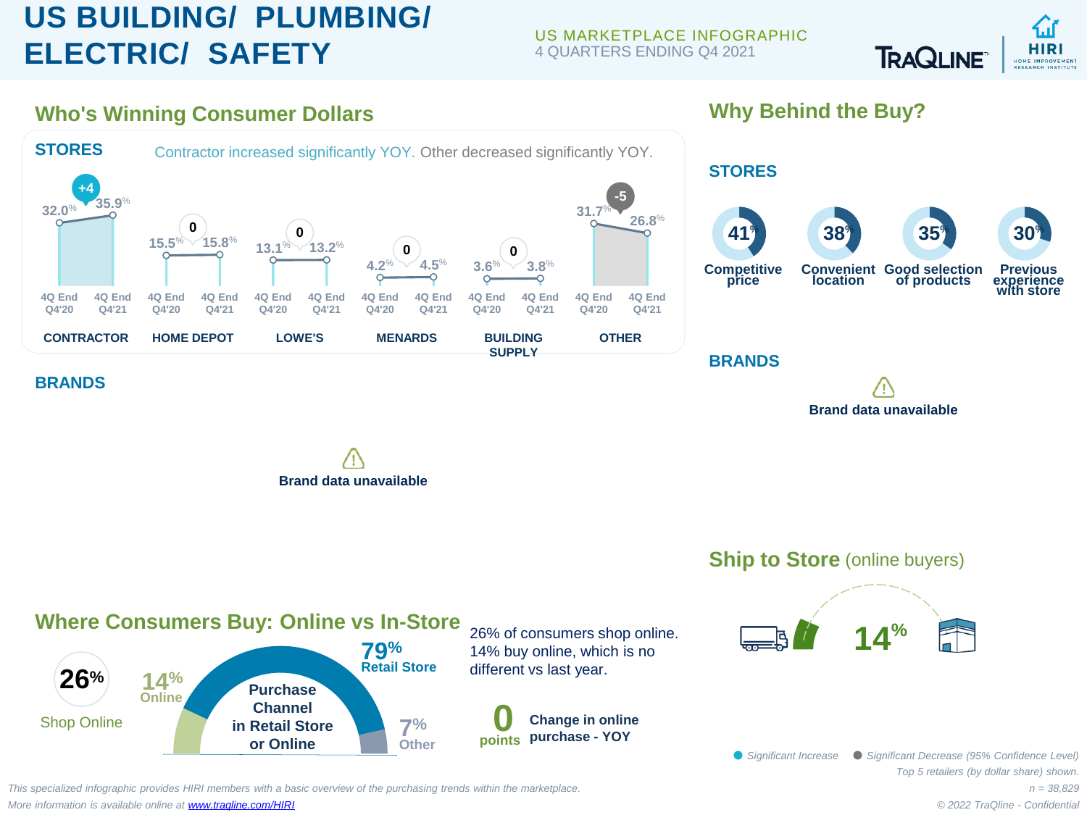## **US BUILDING/ PLUMBING/ ELECTRIC/ SAFETY**

US MARKETPLACE INFOGRAPHIC 4 QUARTERS ENDING Q4 2021



**Why Behind the Buy?**





*This specialized infographic provides HIRI members with a basic overview of the purchasing trends within the marketplace. More information is available online at [www.traqline.com/HIRI](https://www.traqline.com/HIRI)*

*n = 38,829 © 2022 TraQline - Confidential*